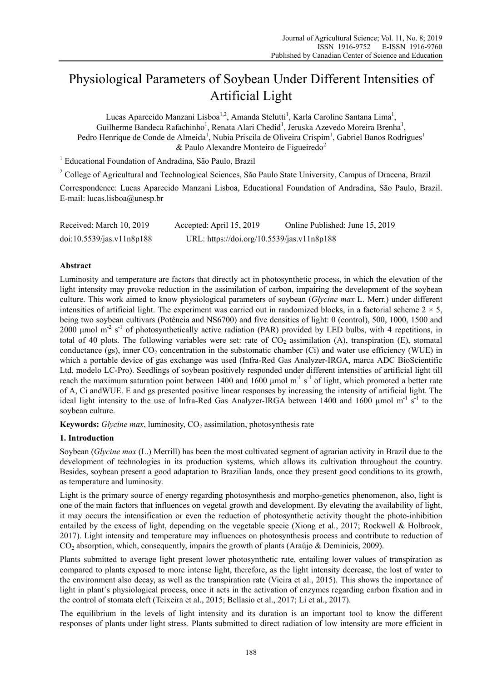# Physiological Parameters of Soybean Under Different Intensities of Artificial Light

Lucas Aparecido Manzani Lisboa<sup>1,2</sup>, Amanda Stelutti<sup>1</sup>, Karla Caroline Santana Lima<sup>1</sup>, Guilherme Bandeca Rafachinho<sup>1</sup>, Renata Alari Chedid<sup>1</sup>, Jeruska Azevedo Moreira Brenha<sup>1</sup>, Pedro Henrique de Conde de Almeida<sup>1</sup>, Nubia Priscila de Oliveira Crispim<sup>1</sup>, Gabriel Banos Rodrigues<sup>1</sup>  $&$  Paulo Alexandre Monteiro de Figueiredo<sup>2</sup>

<sup>1</sup> Educational Foundation of Andradina, São Paulo, Brazil

<sup>2</sup> College of Agricultural and Technological Sciences, São Paulo State University, Campus of Dracena, Brazil

Correspondence: Lucas Aparecido Manzani Lisboa, Educational Foundation of Andradina, São Paulo, Brazil. E-mail: lucas.lisboa@unesp.br

| Received: March 10, 2019  | Accepted: April 15, 2019                   | Online Published: June 15, 2019 |
|---------------------------|--------------------------------------------|---------------------------------|
| doi:10.5539/jas.v11n8p188 | URL: https://doi.org/10.5539/jas.v11n8p188 |                                 |

## **Abstract**

Luminosity and temperature are factors that directly act in photosynthetic process, in which the elevation of the light intensity may provoke reduction in the assimilation of carbon, impairing the development of the soybean culture. This work aimed to know physiological parameters of soybean (*Glycine max* L. Merr.) under different intensities of artificial light. The experiment was carried out in randomized blocks, in a factorial scheme  $2 \times 5$ , being two soybean cultivars (Potência and NS6700) and five densities of light: 0 (control), 500, 1000, 1500 and 2000 umol  $m^{-2}$  s<sup>-1</sup> of photosynthetically active radiation (PAR) provided by LED bulbs, with 4 repetitions, in total of 40 plots. The following variables were set: rate of  $CO<sub>2</sub>$  assimilation (A), transpiration (E), stomatal conductance (gs), inner  $CO<sub>2</sub>$  concentration in the substomatic chamber (Ci) and water use efficiency (WUE) in which a portable device of gas exchange was used (Infra-Red Gas Analyzer-IRGA, marca ADC BioScientific Ltd, modelo LC-Pro). Seedlings of soybean positively responded under different intensities of artificial light till reach the maximum saturation point between 1400 and 1600  $\mu$ mol m<sup>-1</sup> s<sup>-1</sup> of light, which promoted a better rate of A, Ci andWUE. E and gs presented positive linear responses by increasing the intensity of artificial light. The ideal light intensity to the use of Infra-Red Gas Analyzer-IRGA between 1400 and 1600 µmol m<sup>-1</sup> s<sup>-1</sup> to the soybean culture.

**Keywords:** *Glycine max*, luminosity,  $CO<sub>2</sub>$  assimilation, photosynthesis rate

## **1. Introduction**

Soybean (*Glycine max* (L.) Merrill) has been the most cultivated segment of agrarian activity in Brazil due to the development of technologies in its production systems, which allows its cultivation throughout the country. Besides, soybean present a good adaptation to Brazilian lands, once they present good conditions to its growth, as temperature and luminosity.

Light is the primary source of energy regarding photosynthesis and morpho-genetics phenomenon, also, light is one of the main factors that influences on vegetal growth and development. By elevating the availability of light, it may occurs the intensification or even the reduction of photosynthetic activity thought the photo-inhibition entailed by the excess of light, depending on the vegetable specie (Xiong et al., 2017; Rockwell & Holbrook, 2017). Light intensity and temperature may influences on photosynthesis process and contribute to reduction of CO2 absorption, which, consequently, impairs the growth of plants (Araújo & Deminicis, 2009).

Plants submitted to average light present lower photosynthetic rate, entailing lower values of transpiration as compared to plants exposed to more intense light, therefore, as the light intensity decrease, the lost of water to the environment also decay, as well as the transpiration rate (Vieira et al., 2015). This shows the importance of light in plant´s physiological process, once it acts in the activation of enzymes regarding carbon fixation and in the control of stomata cleft (Teixeira et al., 2015; Bellasio et al., 2017; Li et al., 2017).

The equilibrium in the levels of light intensity and its duration is an important tool to know the different responses of plants under light stress. Plants submitted to direct radiation of low intensity are more efficient in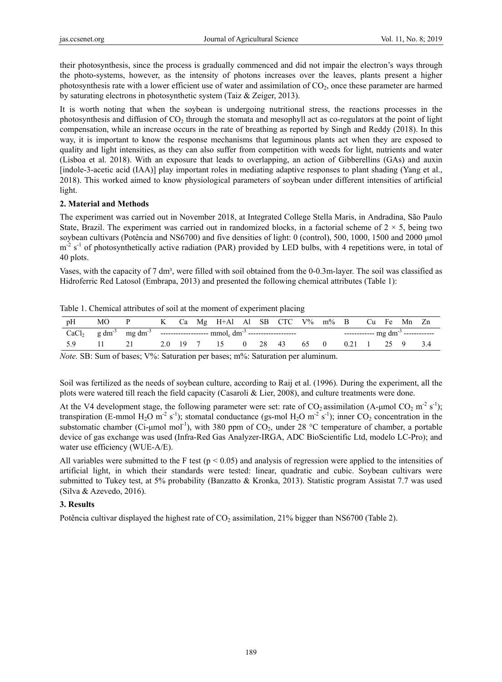their photosynthesis, since the process is gradually commenced and did not impair the electron's ways through the photo-systems, however, as the intensity of photons increases over the leaves, plants present a higher photosynthesis rate with a lower efficient use of water and assimilation of  $CO<sub>2</sub>$ , once these parameter are harmed by saturating electrons in photosynthetic system (Taiz & Zeiger, 2013).

It is worth noting that when the soybean is undergoing nutritional stress, the reactions processes in the photosynthesis and diffusion of  $CO<sub>2</sub>$  through the stomata and mesophyll act as co-regulators at the point of light compensation, while an increase occurs in the rate of breathing as reported by Singh and Reddy (2018). In this way, it is important to know the response mechanisms that leguminous plants act when they are exposed to quality and light intensities, as they can also suffer from competition with weeds for light, nutrients and water (Lisboa et al. 2018). With an exposure that leads to overlapping, an action of Gibberellins (GAs) and auxin [indole-3-acetic acid (IAA)] play important roles in mediating adaptive responses to plant shading (Yang et al., 2018). This worked aimed to know physiological parameters of soybean under different intensities of artificial light.

### **2. Material and Methods**

The experiment was carried out in November 2018, at Integrated College Stella Maris, in Andradina, São Paulo State, Brazil. The experiment was carried out in randomized blocks, in a factorial scheme of  $2 \times 5$ , being two soybean cultivars (Potência and NS6700) and five densities of light: 0 (control), 500, 1000, 1500 and 2000 μmol  $m<sup>2</sup>$  s<sup>-1</sup> of photosynthetically active radiation (PAR) provided by LED bulbs, with 4 repetitions were, in total of 40 plots.

Vases, with the capacity of 7 dm<sup>3</sup>, were filled with soil obtained from the 0-0.3m-layer. The soil was classified as Hidroferric Red Latosol (Embrapa, 2013) and presented the following chemical attributes (Table 1):

|               | Table 1. Chemical attributes of soil at the moment of experiment placing |  |  |                                                                                                         |  |  |  |
|---------------|--------------------------------------------------------------------------|--|--|---------------------------------------------------------------------------------------------------------|--|--|--|
| $n\mathbf{H}$ | $M\cap D$                                                                |  |  | $V = C_0$ $M_\alpha$ $U + \lambda 1$ $\lambda 1$ CD $CTC = V\frac{\alpha}{\mu}$ $m\frac{\alpha}{\mu}$ D |  |  |  |

| pH | MO. | $\mathbf{P}$ |  |  | K Ca Mg H+Al Al SB CTC V% m% B Cu Fe Mn Zn |  |  |  |  |  |  |  |  |
|----|-----|--------------|--|--|--------------------------------------------|--|--|--|--|--|--|--|--|
|    |     |              |  |  |                                            |  |  |  |  |  |  |  |  |
|    |     | 21           |  |  | 2.0 19 7 15 0 28 43 65 0 0.21 1 25 9 3.4   |  |  |  |  |  |  |  |  |

*Note.* SB: Sum of bases; V%: Saturation per bases; m%: Saturation per aluminum.

Soil was fertilized as the needs of soybean culture, according to Raij et al. (1996). During the experiment, all the plots were watered till reach the field capacity (Casaroli & Lier, 2008), and culture treatments were done.

At the V4 development stage, the following parameter were set: rate of  $CO_2$  assimilation (A-µmol  $CO_2$  m<sup>-2</sup> s<sup>-1</sup>); transpiration (E-mmol H<sub>2</sub>O m<sup>-2</sup> s<sup>-1</sup>); stomatal conductance (gs-mol H<sub>2</sub>O m<sup>-2</sup> s<sup>-1</sup>); inner CO<sub>2</sub> concentration in the substomatic chamber (Ci-umol mol<sup>-1</sup>), with 380 ppm of CO<sub>2</sub>, under 28 °C temperature of chamber, a portable device of gas exchange was used (Infra-Red Gas Analyzer-IRGA, ADC BioScientific Ltd, modelo LC-Pro); and water use efficiency (WUE-A/E).

All variables were submitted to the F test ( $p < 0.05$ ) and analysis of regression were applied to the intensities of artificial light, in which their standards were tested: linear, quadratic and cubic. Soybean cultivars were submitted to Tukey test, at 5% probability (Banzatto & Kronka, 2013). Statistic program Assistat 7.7 was used (Silva & Azevedo, 2016).

## **3. Results**

Potência cultivar displayed the highest rate of  $CO<sub>2</sub>$  assimilation, 21% bigger than NS6700 (Table 2).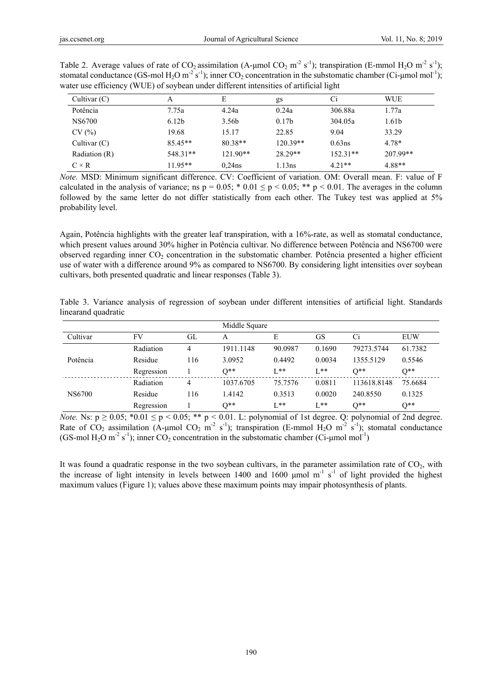| Cultivar $(C)$ | A                 | E                 | gs                | Ci         | <b>WUE</b> |
|----------------|-------------------|-------------------|-------------------|------------|------------|
| Potência       | 7.75a             | 4.24a             | 0.24a             | 306.88a    | 1.77a      |
| NS6700         | 6.12 <sub>b</sub> | 3.56 <sub>b</sub> | 0.17 <sub>b</sub> | 304.05a    | 1.61b      |
| CV(%)          | 19.68             | 15.17             | 22.85             | 9.04       | 33.29      |
| Cultivar $(C)$ | $85.45**$         | $80.38**$         | 120.39**          | $0.63$ ns  | 4.78*      |
| Radiation (R)  | $548.31**$        | $121.90**$        | 28.29**           | $152.31**$ | 207.99**   |
| $C \times R$   | $11.95**$         | $0.24$ ns         | 1.13ns            | $4.21**$   | $4.88**$   |

Table 2. Average values of rate of  $CO_2$  assimilation (A-µmol  $CO_2$  m<sup>-2</sup> s<sup>-1</sup>); transpiration (E-mmol H<sub>2</sub>O m<sup>-2</sup> s<sup>-1</sup>); stomatal conductance (GS-mol H<sub>2</sub>O m<sup>-2</sup> s<sup>-1</sup>); inner CO<sub>2</sub> concentration in the substomatic chamber (Ci-µmol mol<sup>-1</sup>); water use efficiency (WUE) of soybean under different intensities of artificial light

*Note.* MSD: Minimum significant difference. CV: Coefficient of variation. OM: Overall mean. F: value of F calculated in the analysis of variance; ns  $p = 0.05$ ; \* 0.01  $\le p \le 0.05$ ; \*\*  $p \le 0.01$ . The averages in the column followed by the same letter do not differ statistically from each other. The Tukey test was applied at 5% probability level.

Again, Potência highlights with the greater leaf transpiration, with a 16%-rate, as well as stomatal conductance, which present values around 30% higher in Potência cultivar. No difference between Potência and NS6700 were observed regarding inner  $CO<sub>2</sub>$  concentration in the substomatic chamber. Potência presented a higher efficient use of water with a difference around 9% as compared to NS6700. By considering light intensities over soybean cultivars, both presented quadratic and linear responses (Table 3).

|                     |  | Table 3. Variance analysis of regression of soybean under different intensities of artificial light. Standards |  |  |  |  |  |
|---------------------|--|----------------------------------------------------------------------------------------------------------------|--|--|--|--|--|
| linearand quadratic |  |                                                                                                                |  |  |  |  |  |

|          |            |     | Middle Square |         |          |             |            |
|----------|------------|-----|---------------|---------|----------|-------------|------------|
| Cultivar | FV         | GL  | A             | E       | GS       | Ci          | <b>EUW</b> |
|          | Radiation  | 4   | 1911.1148     | 90.0987 | 0.1690   | 79273.5744  | 61.7382    |
| Potência | Residue    | 116 | 3.0952        | 0.4492  | 0.0034   | 1355.5129   | 0.5546     |
|          | Regression |     | $O^*$         | $1**$   | $I^*$    | $0**$       | $O^*$      |
|          | Radiation  | 4   | 1037.6705     | 75.7576 | 0.0811   | 113618.8148 | 75.6684    |
| NS6700   | Residue    | 116 | 1.4142        | 0.3513  | 0.0020   | 240.8550    | 0.1325     |
|          | Regression |     | $0**$         | $1**$   | $L^{**}$ | $0**$       | $0**$      |

*Note.* Ns:  $p \ge 0.05$ ; \*0.01  $\le p \le 0.05$ ; \*\*  $p \le 0.01$ . L: polynomial of 1st degree. Q: polynomial of 2nd degree. Rate of CO<sub>2</sub> assimilation (A-µmol CO<sub>2</sub> m<sup>-2</sup> s<sup>-1</sup>); transpiration (E-mmol H<sub>2</sub>O m<sup>-2</sup> s<sup>-1</sup>); stomatal conductance (GS-mol H<sub>2</sub>O m<sup>-2</sup> s<sup>-1</sup>); inner CO<sub>2</sub> concentration in the substomatic chamber (Ci-µmol mol<sup>-1</sup>)

It was found a quadratic response in the two soybean cultivars, in the parameter assimilation rate of  $CO<sub>2</sub>$ , with the increase of light intensity in levels between 1400 and 1600  $\mu$ mol m<sup>-1</sup> s<sup>-1</sup> of light provided the highest maximum values (Figure 1); values above these maximum points may impair photosynthesis of plants.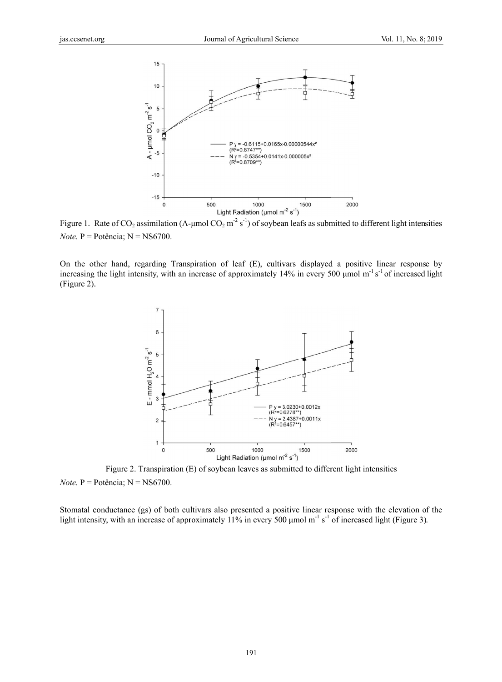

Figure 1. Rate of CO<sub>2</sub> assimilation (A-µmol CO<sub>2</sub> m<sup>-2</sup> s<sup>-1</sup>) of soybean leafs as submitted to different light intensities *Note*. P = Potência;  $N = NS6700$ .

On the other hand, regarding Transpiration of leaf (E), cultivars displayed a positive linear response by increasing the light intensity, with an increase of approximately 14% in every 500 umol m<sup>-1</sup>s<sup>-1</sup> of increased light (Figure 2).



Figure 2. Transpiration (E) of soybean leaves as submitted to different light intensities *Note*. P = Potência;  $N = NS6700$ .

Stomatal conductance (gs) of both cultivars also presented a positive linear response with the elevation of the light intensity, with an increase of approximately  $11\%$  in every 500 µmol m<sup>-1</sup> s<sup>-1</sup> of increased light (Figure 3).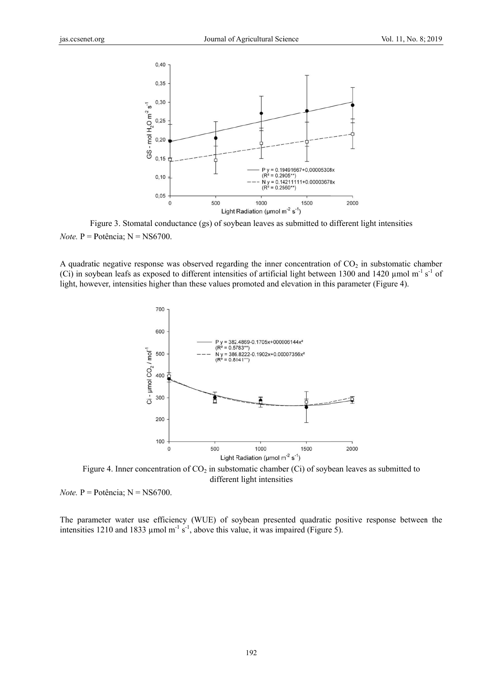

Figure 3. Stomatal conductance (gs) of soybean leaves as submitted to different light intensities *Note*. P = Potência;  $N = NS6700$ .

A quadratic negative response was observed regarding the inner concentration of  $CO<sub>2</sub>$  in substomatic chamber (Ci) in soybean leafs as exposed to different intensities of artificial light between 1300 and 1420  $\mu$ mol m<sup>-1</sup> s<sup>-1</sup> of light, however, intensities higher than these values promoted and elevation in this parameter (Figure 4).



Figure 4. Inner concentration of  $CO<sub>2</sub>$  in substomatic chamber (Ci) of soybean leaves as submitted to different light intensities

*Note*. P = Potência;  $N = NS6700$ .

The parameter water use efficiency (WUE) of soybean presented quadratic positive response between the intensities 1210 and 1833 µmol m<sup>-1</sup> s<sup>-1</sup>, above this value, it was impaired (Figure 5).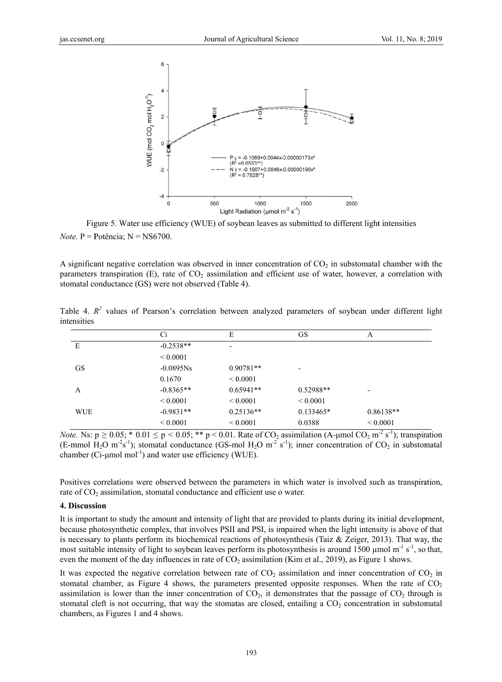

Figure 5. Water use efficiency (WUE) of soybean leaves as submitted to different light intensities *Note*.  $P = P$ otência;  $N = NS6700$ .

A significant negative correlation was observed in inner concentration of  $CO<sub>2</sub>$  in substomatal chamber with the parameters transpiration  $(E)$ , rate of  $CO<sub>2</sub>$  assimilation and efficient use of water, however, a correlation with stomatal conductance (GS) were not observed (Table 4).

|            | Ci            | Е                        | GS                       | A                             |
|------------|---------------|--------------------------|--------------------------|-------------------------------|
| E          | $-0.2538**$   | $\overline{\phantom{a}}$ |                          |                               |
|            | ${}_{0.0001}$ |                          |                          |                               |
| <b>GS</b>  | $-0.0895Ns$   | $0.90781**$              | $\overline{\phantom{a}}$ |                               |
|            | 0.1670        | ${}_{0.0001}$            |                          |                               |
| A          | $-0.8365**$   | $0.65941**$              | $0.52988**$              | ٠                             |
|            | ${}_{0.0001}$ | ${}_{0.0001}$            | ${}_{0.0001}$            |                               |
| <b>WUE</b> | $-0.9831**$   | $0.25136**$              | $0.133465*$              | $0.86138**$                   |
|            | ${}_{0.0001}$ | ${}_{0.0001}$            | 0.0388                   | ${}< 0.0001$<br>$\sim$ $\sim$ |

Table 4.  $R^2$  values of Pearson's correlation between analyzed parameters of sovbean under different light intensities

*Note.* Ns:  $p \ge 0.05$ ; \* 0.01  $\le p \le 0.05$ ; \*\*  $p \le 0.01$ . Rate of CO<sub>2</sub> assimilation (A-µmol CO<sub>2</sub> m<sup>-2</sup> s<sup>-1</sup>); transpiration (E-mmol H<sub>2</sub>O m<sup>-2</sup>s<sup>-1</sup>); stomatal conductance (GS-mol H<sub>2</sub>O m<sup>-2</sup> s<sup>-1</sup>); inner concentration of CO<sub>2</sub> in substomatal chamber ( $Ci$ -µmol mol<sup>-1</sup>) and water use efficiency (WUE).

Positives correlations were observed between the parameters in which water is involved such as transpiration, rate of CO<sub>2</sub> assimilation, stomatal conductance and efficient use o water.

#### 4. Discussion

It is important to study the amount and intensity of light that are provided to plants during its initial development, because photosynthetic complex, that involves PSII and PSI, is impaired when the light intensity is above of that is necessary to plants perform its biochemical reactions of photosynthesis (Taiz  $\&$  Zeiger, 2013). That way, the most suitable intensity of light to soybean leaves perform its photosynthesis is around 1500  $\mu$ mol m<sup>-1</sup> s<sup>-1</sup>, so that, even the moment of the day influences in rate of  $CO_2$  assimilation (Kim et al., 2019), as Figure 1 shows.

It was expected the negative correlation between rate of  $CO_2$  assimilation and inner concentration of  $CO_2$  in stomatal chamber, as Figure 4 shows, the parameters presented opposite responses. When the rate of  $CO<sub>2</sub>$ assimilation is lower than the inner concentration of  $CO<sub>2</sub>$ , it demonstrates that the passage of  $CO<sub>2</sub>$  through is stomatal cleft is not occurring, that way the stomatas are closed, entailing a  $CO<sub>2</sub>$  concentration in substomatal chambers, as Figures 1 and 4 shows.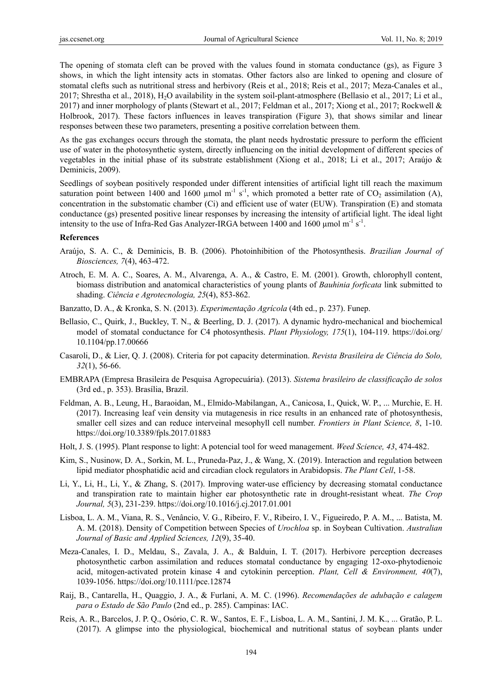The opening of stomata cleft can be proved with the values found in stomata conductance (gs), as Figure 3 shows, in which the light intensity acts in stomatas. Other factors also are linked to opening and closure of stomatal clefts such as nutritional stress and herbivory (Reis et al., 2018; Reis et al., 2017; Meza-Canales et al., 2017; Shrestha et al., 2018), H2O availability in the system soil-plant-atmosphere (Bellasio et al., 2017; Li et al., 2017) and inner morphology of plants (Stewart et al., 2017; Feldman et al., 2017; Xiong et al., 2017; Rockwell & Holbrook, 2017). These factors influences in leaves transpiration (Figure 3), that shows similar and linear responses between these two parameters, presenting a positive correlation between them.

As the gas exchanges occurs through the stomata, the plant needs hydrostatic pressure to perform the efficient use of water in the photosynthetic system, directly influencing on the initial development of different species of vegetables in the initial phase of its substrate establishment (Xiong et al., 2018; Li et al., 2017; Araújo & Deminicis, 2009).

Seedlings of soybean positively responded under different intensities of artificial light till reach the maximum saturation point between 1400 and 1600 µmol m<sup>-1</sup> s<sup>-1</sup>, which promoted a better rate of CO<sub>2</sub> assimilation (A), concentration in the substomatic chamber (Ci) and efficient use of water (EUW). Transpiration (E) and stomata conductance (gs) presented positive linear responses by increasing the intensity of artificial light. The ideal light intensity to the use of Infra-Red Gas Analyzer-IRGA between 1400 and 1600  $\mu$ mol m<sup>-1</sup> s<sup>-1</sup>.

#### **References**

- Araújo, S. A. C., & Deminicis, B. B. (2006). Photoinhibition of the Photosynthesis. *Brazilian Journal of Biosciences, 7*(4), 463-472.
- Atroch, E. M. A. C., Soares, A. M., Alvarenga, A. A., & Castro, E. M. (2001). Growth, chlorophyll content, biomass distribution and anatomical characteristics of young plants of *Bauhinia forficata* link submitted to shading. *Ciência e Agrotecnologia, 25*(4), 853-862.
- Banzatto, D. A., & Kronka, S. N. (2013). *Experimentação Agrícola* (4th ed., p. 237). Funep.
- Bellasio, C., Quirk, J., Buckley, T. N., & Beerling, D. J. (2017). A dynamic hydro-mechanical and biochemical model of stomatal conductance for C4 photosynthesis. *Plant Physiology, 175*(1), 104-119. https://doi.org/ 10.1104/pp.17.00666
- Casaroli, D., & Lier, Q. J. (2008). Criteria for pot capacity determination. *Revista Brasileira de Ciência do Solo, 32*(1), 56-66.
- EMBRAPA (Empresa Brasileira de Pesquisa Agropecuária). (2013). *Sistema brasileiro de classificação de solos*  (3rd ed., p. 353). Brasília, Brazil.
- Feldman, A. B., Leung, H., Baraoidan, M., Elmido-Mabilangan, A., Canicosa, I., Quick, W. P., ... Murchie, E. H. (2017). Increasing leaf vein density via mutagenesis in rice results in an enhanced rate of photosynthesis, smaller cell sizes and can reduce interveinal mesophyll cell number. *Frontiers in Plant Science, 8*, 1-10. https://doi.org/10.3389/fpls.2017.01883
- Holt, J. S. (1995). Plant response to light: A potencial tool for weed management. *Weed Science, 43*, 474-482.
- Kim, S., Nusinow, D. A., Sorkin, M. L., Pruneda-Paz, J., & Wang, X. (2019). Interaction and regulation between lipid mediator phosphatidic acid and circadian clock regulators in Arabidopsis. *The Plant Cell*, 1-58.
- Li, Y., Li, H., Li, Y., & Zhang, S. (2017). Improving water-use efficiency by decreasing stomatal conductance and transpiration rate to maintain higher ear photosynthetic rate in drought-resistant wheat. *The Crop Journal, 5*(3), 231-239. https://doi.org/10.1016/j.cj.2017.01.001
- Lisboa, L. A. M., Viana, R. S., Venâncio, V. G., Ribeiro, F. V., Ribeiro, I. V., Figueiredo, P. A. M., ... Batista, M. A. M. (2018). Density of Competition between Species of *Urochloa* sp. in Soybean Cultivation. *Australian Journal of Basic and Applied Sciences, 12*(9), 35-40.
- Meza-Canales, I. D., Meldau, S., Zavala, J. A., & Balduin, I. T. (2017). Herbivore perception decreases photosynthetic carbon assimilation and reduces stomatal conductance by engaging 12-oxo-phytodienoic acid, mitogen-activated protein kinase 4 and cytokinin perception. *Plant, Cell & Environment, 40*(7), 1039-1056. https://doi.org/10.1111/pce.12874
- Raij, B., Cantarella, H., Quaggio, J. A., & Furlani, A. M. C. (1996). *Recomendações de adubação e calagem para o Estado de São Paulo* (2nd ed., p. 285). Campinas: IAC.
- Reis, A. R., Barcelos, J. P. Q., Osório, C. R. W., Santos, E. F., Lisboa, L. A. M., Santini, J. M. K., ... Gratão, P. L. (2017). A glimpse into the physiological, biochemical and nutritional status of soybean plants under